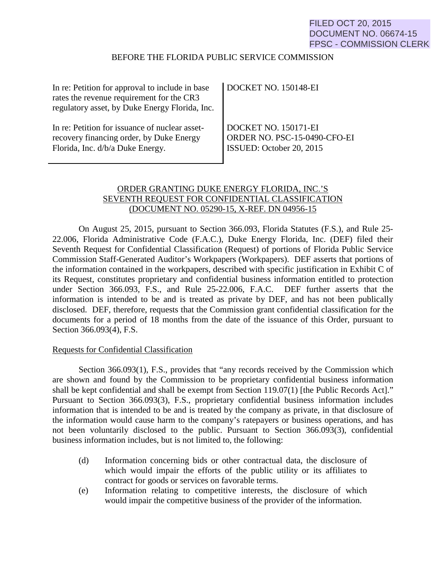# FILED OCT 20, 2015 DOCUMENT NO. 06674-15 FPSC - COMMISSION CLERK

### BEFORE THE FLORIDA PUBLIC SERVICE COMMISSION

| In re: Petition for approval to include in base<br>rates the revenue requirement for the CR3<br>regulatory asset, by Duke Energy Florida, Inc. | DOCKET NO. 150148-EI         |
|------------------------------------------------------------------------------------------------------------------------------------------------|------------------------------|
| In re: Petition for issuance of nuclear asset-                                                                                                 | DOCKET NO. 150171-EI         |
| recovery financing order, by Duke Energy                                                                                                       | ORDER NO. PSC-15-0490-CFO-EI |
| Florida, Inc. d/b/a Duke Energy.                                                                                                               | ISSUED: October 20, 2015     |

# ORDER GRANTING DUKE ENERGY FLORIDA, INC.'S SEVENTH REQUEST FOR CONFIDENTIAL CLASSIFICATION (DOCUMENT NO. 05290-15, X-REF. DN 04956-15

On August 25, 2015, pursuant to Section 366.093, Florida Statutes (F.S.), and Rule 25- 22.006, Florida Administrative Code (F.A.C.), Duke Energy Florida, Inc. (DEF) filed their Seventh Request for Confidential Classification (Request) of portions of Florida Public Service Commission Staff-Generated Auditor's Workpapers (Workpapers). DEF asserts that portions of the information contained in the workpapers, described with specific justification in Exhibit C of its Request, constitutes proprietary and confidential business information entitled to protection under Section 366.093, F.S., and Rule 25-22.006, F.A.C. DEF further asserts that the information is intended to be and is treated as private by DEF, and has not been publically disclosed. DEF, therefore, requests that the Commission grant confidential classification for the documents for a period of 18 months from the date of the issuance of this Order, pursuant to Section 366.093(4), F.S.

#### Requests for Confidential Classification

Section 366.093(1), F.S., provides that "any records received by the Commission which are shown and found by the Commission to be proprietary confidential business information shall be kept confidential and shall be exempt from Section 119.07(1) [the Public Records Act]." Pursuant to Section 366.093(3), F.S., proprietary confidential business information includes information that is intended to be and is treated by the company as private, in that disclosure of the information would cause harm to the company's ratepayers or business operations, and has not been voluntarily disclosed to the public. Pursuant to Section 366.093(3), confidential business information includes, but is not limited to, the following:

- (d) Information concerning bids or other contractual data, the disclosure of which would impair the efforts of the public utility or its affiliates to contract for goods or services on favorable terms.
- (e) Information relating to competitive interests, the disclosure of which would impair the competitive business of the provider of the information.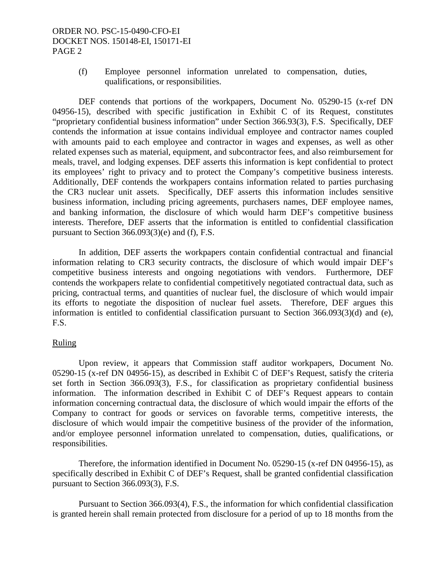## ORDER NO. PSC-15-0490-CFO-EI DOCKET NOS. 150148-EI, 150171-EI PAGE 2

(f) Employee personnel information unrelated to compensation, duties, qualifications, or responsibilities.

DEF contends that portions of the workpapers, Document No. 05290-15 (x-ref DN 04956-15), described with specific justification in Exhibit C of its Request, constitutes "proprietary confidential business information" under Section 366.93(3), F.S. Specifically, DEF contends the information at issue contains individual employee and contractor names coupled with amounts paid to each employee and contractor in wages and expenses, as well as other related expenses such as material, equipment, and subcontractor fees, and also reimbursement for meals, travel, and lodging expenses. DEF asserts this information is kept confidential to protect its employees' right to privacy and to protect the Company's competitive business interests. Additionally, DEF contends the workpapers contains information related to parties purchasing the CR3 nuclear unit assets. Specifically, DEF asserts this information includes sensitive business information, including pricing agreements, purchasers names, DEF employee names, and banking information, the disclosure of which would harm DEF's competitive business interests. Therefore, DEF asserts that the information is entitled to confidential classification pursuant to Section 366.093(3)(e) and (f), F.S.

In addition, DEF asserts the workpapers contain confidential contractual and financial information relating to CR3 security contracts, the disclosure of which would impair DEF's competitive business interests and ongoing negotiations with vendors. Furthermore, DEF contends the workpapers relate to confidential competitively negotiated contractual data, such as pricing, contractual terms, and quantities of nuclear fuel, the disclosure of which would impair its efforts to negotiate the disposition of nuclear fuel assets. Therefore, DEF argues this information is entitled to confidential classification pursuant to Section 366.093(3)(d) and (e), F.S.

#### Ruling

Upon review, it appears that Commission staff auditor workpapers, Document No. 05290-15 (x-ref DN 04956-15), as described in Exhibit C of DEF's Request, satisfy the criteria set forth in Section 366.093(3), F.S., for classification as proprietary confidential business information. The information described in Exhibit C of DEF's Request appears to contain information concerning contractual data, the disclosure of which would impair the efforts of the Company to contract for goods or services on favorable terms, competitive interests, the disclosure of which would impair the competitive business of the provider of the information, and/or employee personnel information unrelated to compensation, duties, qualifications, or responsibilities.

Therefore, the information identified in Document No. 05290-15 (x-ref DN 04956-15), as specifically described in Exhibit C of DEF's Request, shall be granted confidential classification pursuant to Section 366.093(3), F.S.

Pursuant to Section 366.093(4), F.S., the information for which confidential classification is granted herein shall remain protected from disclosure for a period of up to 18 months from the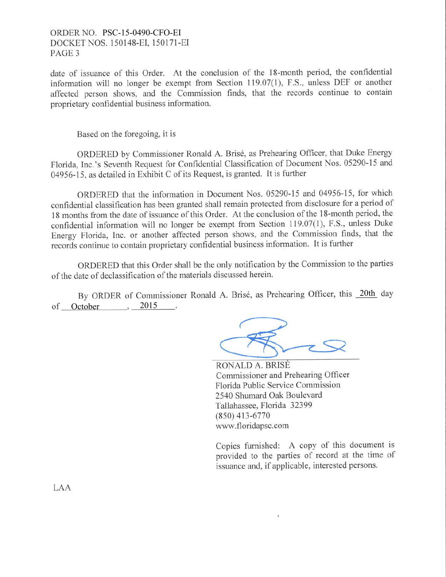### ORDER NO. PSC-15-0490-CFO-EI DOCKET NOS. 150148-EI. 1 50171-EI PAGE 3

date of issuance of this Order. At the conclusion of the l8-month period, the confidential information will no longer be exempt from Section 119.07(1), F.S., unless DEF or another affected person shows, and the Commission finds, that the records continue to contain proprietary confidential business information.

Based on the foregoing, it is

ORDERED by Commissioner Ronald A. Bris6, as Prehearing Officer, that Duke Energy Florida, Inc.'s Seventh Request for Confidential Classification of Document Nos. 05290-15 and 04956-15, as detailed in Exhibit C of its Request, is granted. It is further

ORDERED that the information in Document Nos. 05290-15 and 04956-15, for which confidential classification has been granted shall remain protected from disclosure for a period of 18 months from the date of issuance of this Order. At the conclusion of the 18-month period, the confidential information will no longer be exempt from Section 119.07(1), F.S., unless Duke Energy Florida, Inc. or another affected person shows, and the Commission finds, that the records continue to contain proprietary confidential business information. It is further

ORDERED that this Order shall be the only notification by the Commission to the parties of the date of declassification of the materials discussed herein'

By ORDER of Commissioner Ronald A. Brisé, as Prehearing Officer, this 20th day of October 3 2015

RONALD A. BRISE Commissioner and Prehearing Officer Florida Public Service Commission 2540 Shumard Oak Boulevard Tallahassee, Florida 32399 (8s0) 413-6770 www.floridapsc.com

Copies furnished: A copy of this document is provided to the parties of record at the time of issuance and, if applicable, interested persons.

LAA